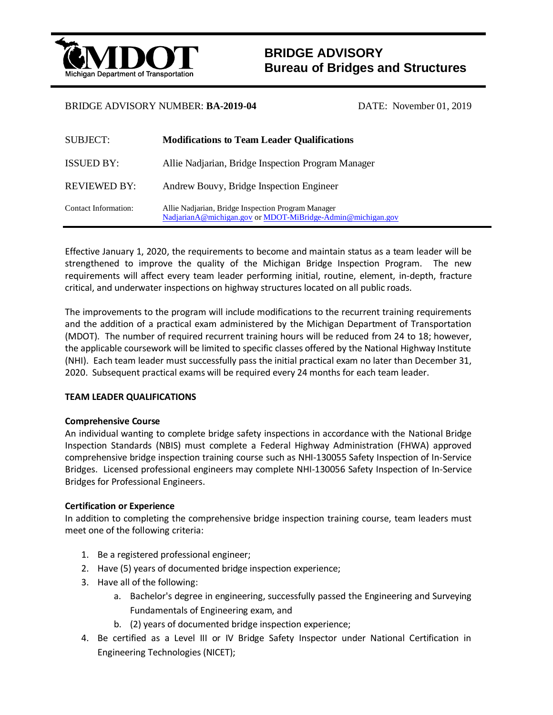

# **BRIDGE ADVISORY Bureau of Bridges and Structures**

## BRIDGE ADVISORY NUMBER: **BA-2019-04** DATE: November 01, 2019

| <b>SUBJECT:</b>             | <b>Modifications to Team Leader Qualifications</b>                                                                |
|-----------------------------|-------------------------------------------------------------------------------------------------------------------|
| <b>ISSUED BY:</b>           | Allie Nadjarian, Bridge Inspection Program Manager                                                                |
| <b>REVIEWED BY:</b>         | Andrew Bouvy, Bridge Inspection Engineer                                                                          |
| <b>Contact Information:</b> | Allie Nadjarian, Bridge Inspection Program Manager<br>NadjarianA@michigan.gov or MDOT-MiBridge-Admin@michigan.gov |

Effective January 1, 2020, the requirements to become and maintain status as a team leader will be strengthened to improve the quality of the Michigan Bridge Inspection Program. The new requirements will affect every team leader performing initial, routine, element, in-depth, fracture critical, and underwater inspections on highway structures located on all public roads.

The improvements to the program will include modifications to the recurrent training requirements and the addition of a practical exam administered by the Michigan Department of Transportation (MDOT). The number of required recurrent training hours will be reduced from 24 to 18; however, the applicable coursework will be limited to specific classes offered by the National Highway Institute (NHI). Each team leader must successfully pass the initial practical exam no later than December 31, 2020. Subsequent practical exams will be required every 24 months for each team leader.

## **TEAM LEADER QUALIFICATIONS**

## **Comprehensive Course**

An individual wanting to complete bridge safety inspections in accordance with the National Bridge Inspection Standards (NBIS) must complete a Federal Highway Administration (FHWA) approved comprehensive bridge inspection training course such as NHI-130055 Safety Inspection of In-Service Bridges. Licensed professional engineers may complete NHI-130056 Safety Inspection of In-Service Bridges for Professional Engineers.

## **Certification or Experience**

In addition to completing the comprehensive bridge inspection training course, team leaders must meet one of the following criteria:

- 1. Be a registered professional engineer;
- 2. Have (5) years of documented bridge inspection experience;
- 3. Have all of the following:
	- a. Bachelor's degree in engineering, successfully passed the Engineering and Surveying Fundamentals of Engineering exam, and
	- b. (2) years of documented bridge inspection experience;
- 4. Be certified as a Level III or IV Bridge Safety Inspector under National Certification in Engineering Technologies (NICET);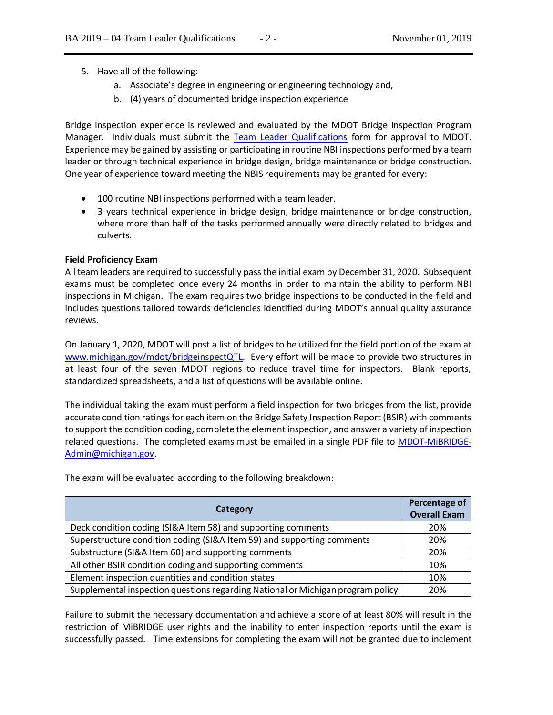- 5. Have all of the following:
	- a. Associate's degree in engineering or engineering technology and,
	- b. (4) years of documented bridge inspection experience

Bridge inspection experience is reviewed and evaluated by the MDOT Bridge Inspection Program Manager. Individuals must submit the [Team Leader Qualifications](https://www.michigan.gov/documents/mdot/Team_Leader_Qualifications_670131_7.pdf) form for approval to MDOT. Experience may be gained by assisting or participating in routine NBI inspections performed by a team leader or through technical experience in bridge design, bridge maintenance or bridge construction. One year of experience toward meeting the NBIS requirements may be granted for every:

- 100 routine NBI inspections performed with a team leader.
- 3 years technical experience in bridge design, bridge maintenance or bridge construction, where more than half of the tasks performed annually were directly related to bridges and culverts.

#### **Field Proficiency Exam**

All team leaders are required to successfully pass the initial exam by December 31, 2020. Subsequent exams must be completed once every 24 months in order to maintain the ability to perform NBI inspections in Michigan. The exam requires two bridge inspections to be conducted in the field and includes questions tailored towards deficiencies identified during MDOT's annual quality assurance reviews.

On January 1, 2020, MDOT will post a list of bridges to be utilized for the field portion of the exam at [www.michigan.gov/mdot/bridgeinspectQTL.](www.michigan.gov/mdot/bridgeinspectQTL) Every effort will be made to provide two structures in at least four of the seven MDOT regions to reduce travel time for inspectors. Blank reports, standardized spreadsheets, and a list of questions will be available online.

The individual taking the exam must perform a field inspection for two bridges from the list, provide accurate condition ratings for each item on the Bridge Safety Inspection Report (BSIR) with comments to support the condition coding, complete the element inspection, and answer a variety of inspection related questions. The completed exams must be emailed in a single PDF file to [MDOT-MiBRIDGE-](mailto:MDOT-MiBRIDGE-Admin@michigan.gov)[Admin@michigan.gov.](mailto:MDOT-MiBRIDGE-Admin@michigan.gov)

| Category                                                                        | Percentage of<br><b>Overall Exam</b> |
|---------------------------------------------------------------------------------|--------------------------------------|
| Deck condition coding (SI&A Item 58) and supporting comments                    | 20%                                  |
| Superstructure condition coding (SI&A Item 59) and supporting comments          | 20%                                  |
| Substructure (SI&A Item 60) and supporting comments                             | 20%                                  |
| All other BSIR condition coding and supporting comments                         | 10%                                  |
| Element inspection quantities and condition states                              | 10%                                  |
| Supplemental inspection questions regarding National or Michigan program policy | 20%                                  |

The exam will be evaluated according to the following breakdown:

Failure to submit the necessary documentation and achieve a score of at least 80% will result in the restriction of MiBRIDGE user rights and the inability to enter inspection reports until the exam is successfully passed. Time extensions for completing the exam will not be granted due to inclement